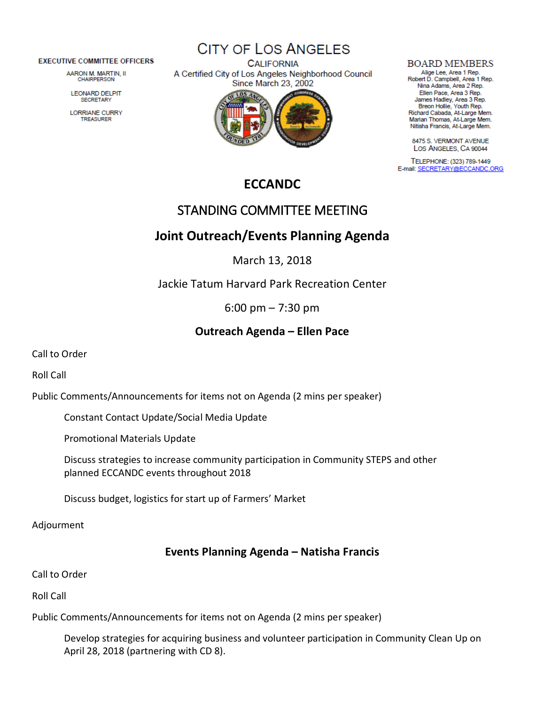#### **EXECUTIVE COMMITTEE OFFICERS**

AARON M. MARTIN, II CHAIRPERSON

**LEONARD DELPIT SECRETARY** 

LORRIANE CURRY TREASURER

**CITY OF LOS ANGELES** 

**CALIFORNIA** A Certified City of Los Angeles Neighborhood Council Since March 23, 2002



#### **BOARD MEMBERS**

Alige Lee, Area 1 Rep.<br>Robert D. Campbell, Area 1 Rep. Nina Adams, Area 2 Rep. Ellen Pace, Area 3 Rep. James Hadley, Area 3 Rep.<br>Breon Hollie, Youth Rep. Richard Cabada, At-Large Mem. Marian Thomas, At-Large Mem. Nitisha Francis, At-Large Mem.

8475 S. VERMONT AVENUE LOS ANGELES, CA 90044

TELEPHONE: (323) 789-1449 E-mail: SECRETARY@ECCANDC.ORG

# **ECCANDC**

# STANDING COMMITTEE MEETING

## **Joint Outreach/Events Planning Agenda**

March 13, 2018

Jackie Tatum Harvard Park Recreation Center

6:00 pm – 7:30 pm

## **Outreach Agenda – Ellen Pace**

Call to Order

Roll Call

Public Comments/Announcements for items not on Agenda (2 mins per speaker)

Constant Contact Update/Social Media Update

Promotional Materials Update

Discuss strategies to increase community participation in Community STEPS and other planned ECCANDC events throughout 2018

Discuss budget, logistics for start up of Farmers' Market

Adjourment

## **Events Planning Agenda – Natisha Francis**

Call to Order

Roll Call

Public Comments/Announcements for items not on Agenda (2 mins per speaker)

Develop strategies for acquiring business and volunteer participation in Community Clean Up on April 28, 2018 (partnering with CD 8).